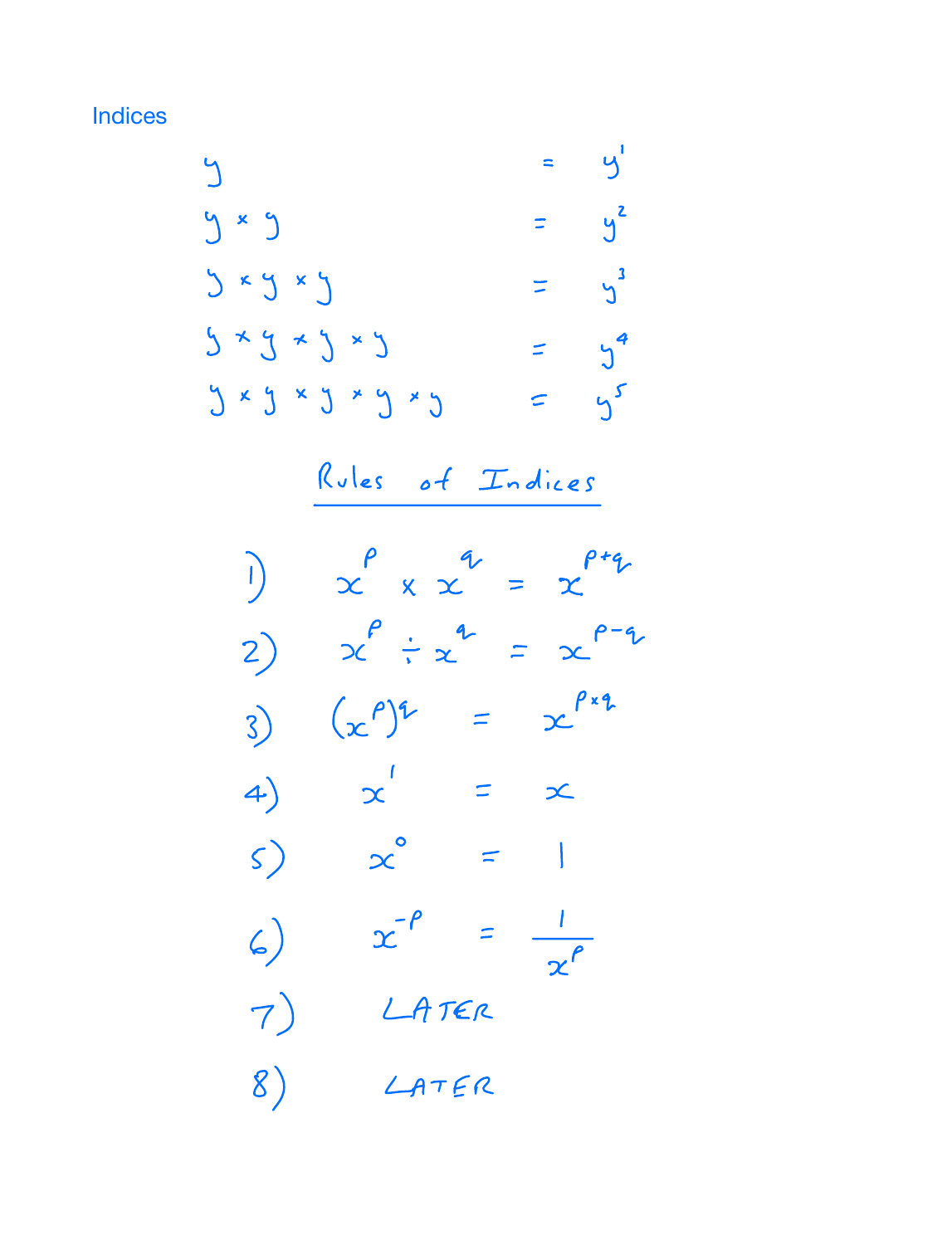**Indices** 

 $y'$  $\blacksquare$  $\bigcup$  $=$   $y^2$ y x y  $y$   $xy$   $xy$  $\frac{3}{1}$  $= 5<sup>4</sup>$  $5 * 5 * 5 * 5$  $y \times y \times y \times y \times y$  $= 45$ Rules of Indices  $\int_{0}^{p} x^{q} dx = \int_{0}^{p+q} x^{q} dx$ i) 2)  $x^{\rho} \div x^{\alpha} = x^{\rho - \alpha}$ 3)  $(x^{\rho})^2 = x^{\rho x}$  $\alpha'$  =  $\alpha$  $4)$  $\propto$  $\vert z \vert$  $\mathcal{S}$  $x^{-\rho}$  =  $\zeta)$  $\overline{x^{\rho}}$ LATER  $7)$  $LATER$ 8)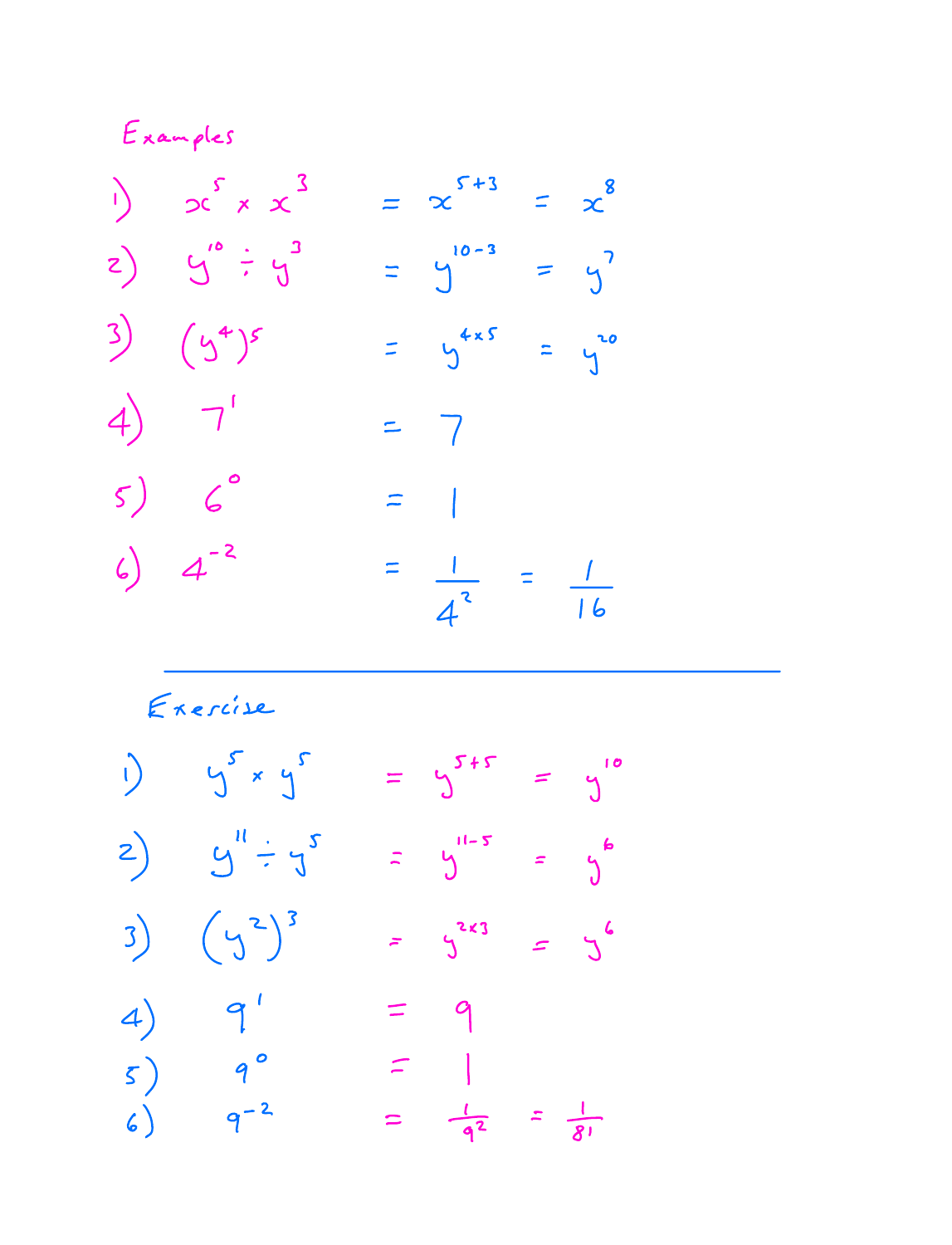Examples  $\int \int \int x x^3$  $=$   $\infty$   $5+3$  $=$   $x^8$  $z)$   $y''$   $\div y^3$  $=$   $\int_{0}^{10-3}$  $= y^2$  $3)$   $(y^4)^5$  $= 4x5$  $=$   $\sqrt[20]{ }$  $4) 7'$  $= 7$  $5)$  6°  $=$   $\vert$  $6) 4^{-2}$  $\equiv$  $\frac{1}{4^2} = \frac{1}{16}$ 

Exercise

 $\int \int x \, y^2$  $= 5^{5+5} = 9^{10}$  $\mathbf{r}$  $2)$   $y'' \div y''$  $y = y$ 3)  $(y^2)^3$  $=$   $\int^{2k3}$  $=5$  $4)$  9'  $= 9$  $5)$  9°  $\equiv$  |  $=$   $\frac{l}{q^2}$  =  $\frac{l}{8!}$  $6)$  $-9^{-2}$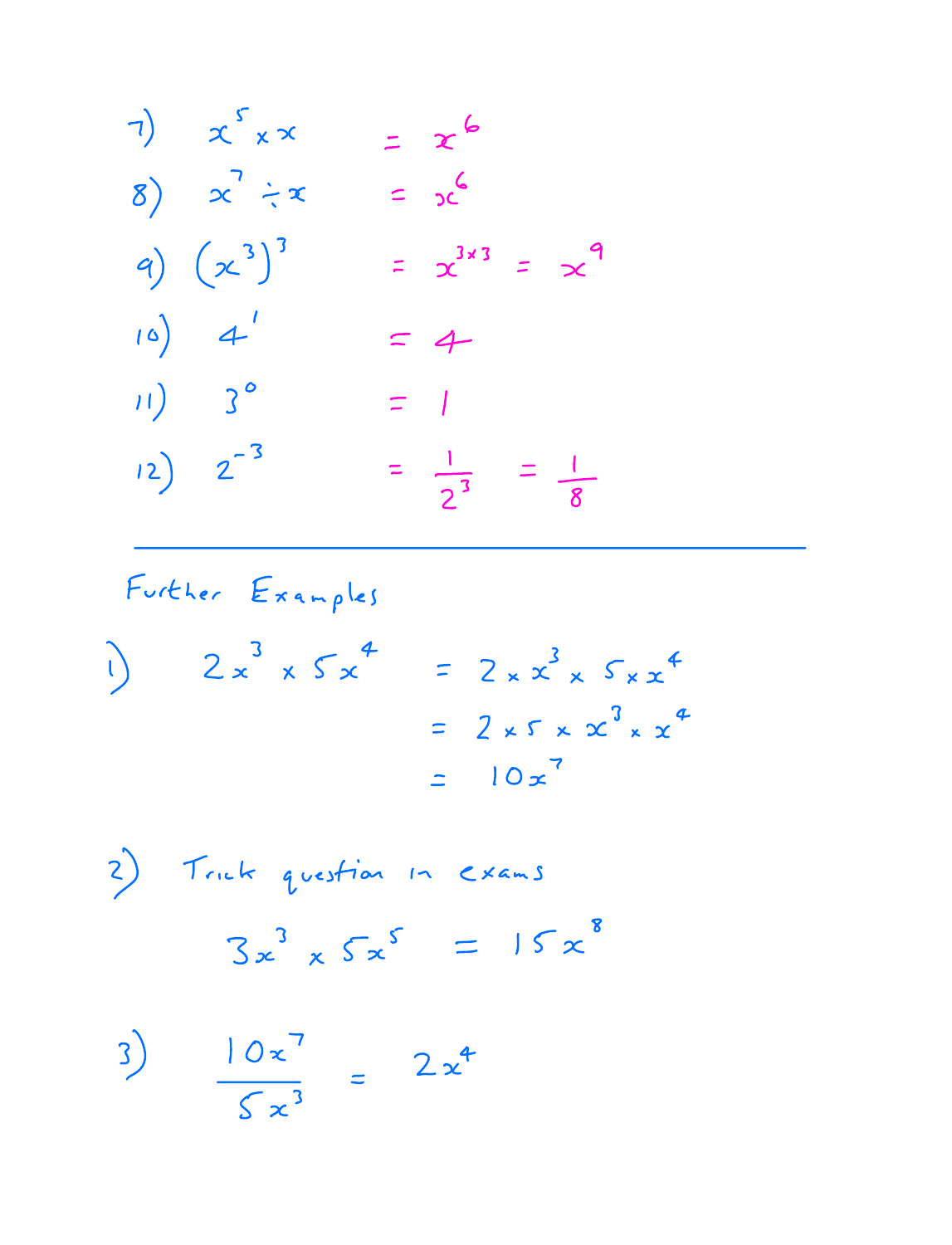7) 
$$
x^{5} \times x = x^{6}
$$
  
\n8)  $x^{7} \div x = x^{6}$   
\n9)  $(x^{3})^{3} = x^{3 \times 3} = x^{9}$   
\n10)  $4^{1} = 4$   
\n11)  $3^{0} = 1$   
\n12)  $2^{-3} = \frac{1}{2^{3}} = \frac{1}{8}$ 

Further Examples

$$
2x3 \times 5x4 = 2 \times x3 \times 5 \times x4
$$
  
= 2 \times 5 \times x<sup>3</sup> \times x<sup>4</sup>  
= 10x<sup>7</sup>

$$
\int \text{Trick question in exams}
$$
\n
$$
3x^3 \times 5x^5 = 15x^8
$$

 $3)$   $10 x'$  $\sum x^3$  $2 x^4$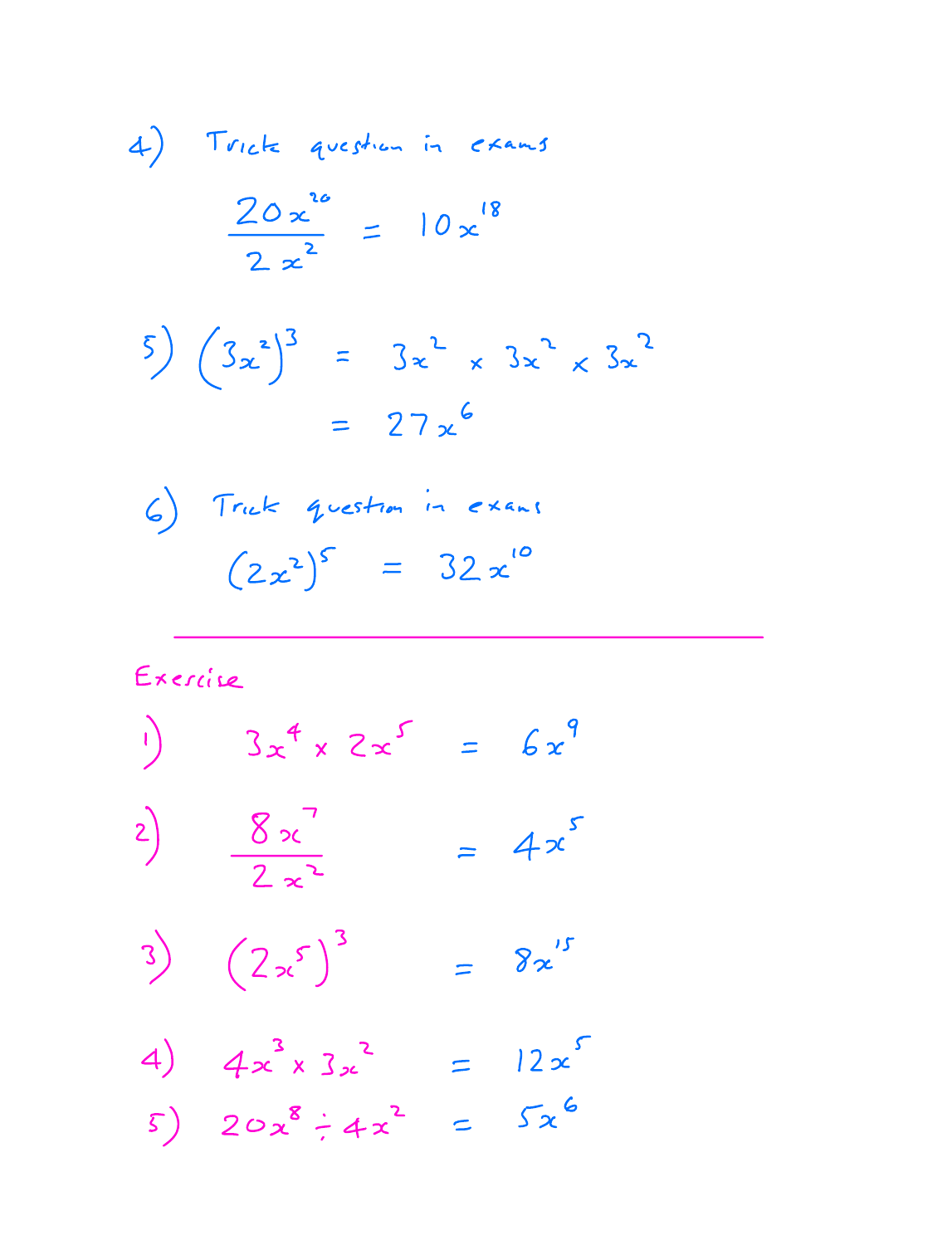$$
4) \text{Twick} \quad \text{question in} \quad \text{examples}
$$
\n
$$
\frac{20x^{10}}{2x^{2}} = 10x^{18}
$$

$$
\begin{array}{rcl} (5) & (3x^2)^3 & = & 3x^2 \times 3x^2 \times 3x^2 \\ & = & 27x^6 \end{array}
$$

$$
6) Truek = 4 \text{cestim in extra}
$$
\n
$$
(2x^2)^5 = 32x^{10}
$$

Exercise

$$
\int 3x^4 \times 2x^5 = 6x^9
$$

$$
\frac{8x^7}{2x^2} = 4x^5
$$

$$
3)\qquad \left(2 x^5\right)^3 \qquad = 8x^{\prime 5}
$$

4) 
$$
4x^{3} \times 3x^{2} = 12x^{5}
$$
  
5)  $20x^{8} \div 4x^{2} = 5x^{6}$